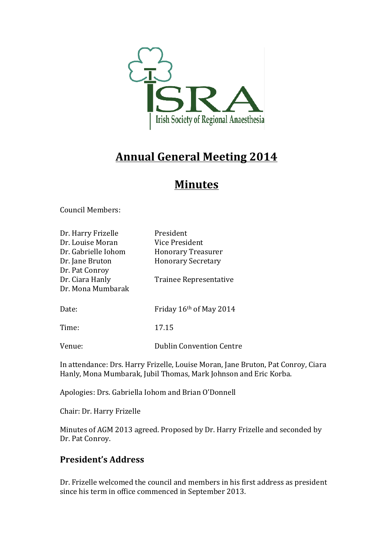

# **Annual General Meeting 2014**

## **Minutes**

Council Members:

| Dr. Harry Frizelle  | President                       |
|---------------------|---------------------------------|
| Dr. Louise Moran    | Vice President                  |
| Dr. Gabrielle Iohom | <b>Honorary Treasurer</b>       |
| Dr. Jane Bruton     | <b>Honorary Secretary</b>       |
| Dr. Pat Conroy      |                                 |
| Dr. Ciara Hanly     | Trainee Representative          |
| Dr. Mona Mumbarak   |                                 |
|                     |                                 |
| Date:               | Friday 16th of May 2014         |
|                     |                                 |
| Time:               | 17.15                           |
|                     |                                 |
| Venue:              | <b>Dublin Convention Centre</b> |

In attendance: Drs. Harry Frizelle, Louise Moran, Jane Bruton, Pat Conroy, Ciara Hanly, Mona Mumbarak, Jubil Thomas, Mark Johnson and Eric Korba.

Apologies: Drs. Gabriella Iohom and Brian O'Donnell

Chair: Dr. Harry Frizelle

Minutes of AGM 2013 agreed. Proposed by Dr. Harry Frizelle and seconded by Dr. Pat Conroy.

### **President's Address**

Dr. Frizelle welcomed the council and members in his first address as president since his term in office commenced in September 2013.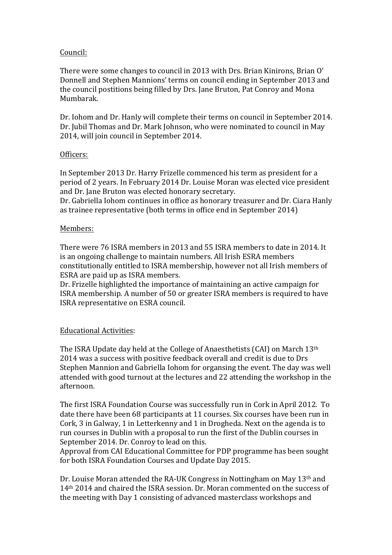#### Council:

There were some changes to council in 2013 with Drs. Brian Kinirons, Brian O' Donnell and Stephen Mannions' terms on council ending in September 2013 and the council postitions being filled by Drs. Jane Bruton, Pat Conroy and Mona Mumbarak.

Dr. Iohom and Dr. Hanly will complete their terms on council in September 2014. Dr. Jubil Thomas and Dr. Mark Johnson, who were nominated to council in May 2014, will join council in September 2014.

#### Officers:

In September 2013 Dr. Harry Frizelle commenced his term as president for a period of 2 years. In February 2014 Dr. Louise Moran was elected vice president and Dr. Jane Bruton was elected honorary secretary.

Dr. Gabriella Iohom continues in office as honorary treasurer and Dr. Ciara Hanly as trainee representative (both terms in office end in September 2014)

#### Members:

There were 76 ISRA members in 2013 and 55 ISRA members to date in 2014. It is an ongoing challenge to maintain numbers. All Irish ESRA members constitutionally entitled to ISRA membership, however not all Irish members of ESRA are paid up as ISRA members.

Dr. Frizelle highlighted the importance of maintaining an active campaign for ISRA membership. A number of 50 or greater ISRA members is required to have ISRA representative on ESRA council.

#### Educational Activities:

The ISRA Update day held at the College of Anaesthetists (CAI) on March  $13<sup>th</sup>$ 2014 was a success with positive feedback overall and credit is due to Drs Stephen Mannion and Gabriella Iohom for organsing the event. The day was well attended with good turnout at the lectures and 22 attending the workshop in the afternoon. 

The first ISRA Foundation Course was successfully run in Cork in April 2012. To date there have been 68 participants at 11 courses. Six courses have been run in Cork, 3 in Galway, 1 in Letterkenny and 1 in Drogheda. Next on the agenda is to run courses in Dublin with a proposal to run the first of the Dublin courses in September 2014. Dr. Conroy to lead on this.

Approval from CAI Educational Committee for PDP programme has been sought for both ISRA Foundation Courses and Update Day 2015.

Dr. Louise Moran attended the RA-UK Congress in Nottingham on May 13<sup>th</sup> and  $14<sup>th</sup>$  2014 and chaired the ISRA session. Dr. Moran commented on the success of the meeting with Day 1 consisting of advanced masterclass workshops and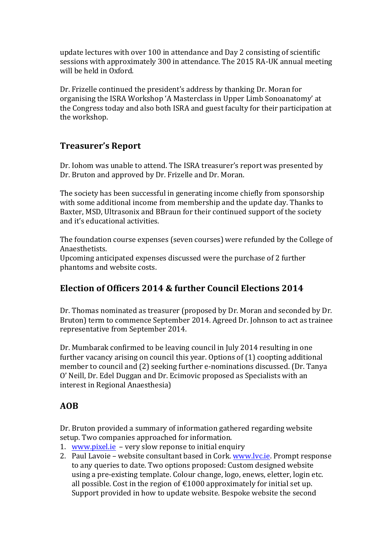update lectures with over 100 in attendance and Day 2 consisting of scientific sessions with approximately 300 in attendance. The 2015 RA-UK annual meeting will be held in Oxford.

Dr. Frizelle continued the president's address by thanking Dr. Moran for organising the ISRA Workshop 'A Masterclass in Upper Limb Sonoanatomy' at the Congress today and also both ISRA and guest faculty for their participation at the workshop.

## **Treasurer's Report**

Dr. Iohom was unable to attend. The ISRA treasurer's report was presented by Dr. Bruton and approved by Dr. Frizelle and Dr. Moran.

The society has been successful in generating income chiefly from sponsorship with some additional income from membership and the update day. Thanks to Baxter, MSD, Ultrasonix and BBraun for their continued support of the society and it's educational activities.

The foundation course expenses (seven courses) were refunded by the College of Anaesthetists.

Upcoming anticipated expenses discussed were the purchase of 2 further phantoms and website costs.

## **Election of Officers 2014 & further Council Elections 2014**

Dr. Thomas nominated as treasurer (proposed by Dr. Moran and seconded by Dr. Bruton) term to commence September 2014. Agreed Dr. Johnson to act as trainee representative from September 2014.

Dr. Mumbarak confirmed to be leaving council in July 2014 resulting in one further vacancy arising on council this year. Options of (1) coopting additional member to council and (2) seeking further e-nominations discussed. (Dr. Tanya O' Neill, Dr. Edel Duggan and Dr. Ecimovic proposed as Specialists with an interest in Regional Anaesthesia)

## **AOB**

Dr. Bruton provided a summary of information gathered regarding website setup. Two companies approached for information.

- 1. www.pixel.ie  $-$  very slow reponse to initial enquiry
- 2. Paul Lavoie website consultant based in Cork. www.lvc.ie. Prompt response to any queries to date. Two options proposed: Custom designed website using a pre-existing template. Colour change, logo, enews, eletter, login etc. all possible. Cost in the region of  $\epsilon$ 1000 approximately for initial set up. Support provided in how to update website. Bespoke website the second